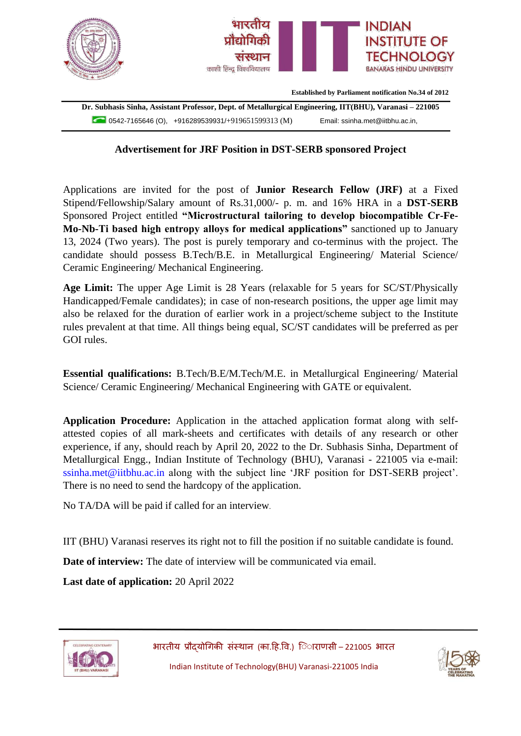

**Advertisement for JRF Position in DST-SERB sponsored Project**

Applications are invited for the post of **Junior Research Fellow (JRF)** at a Fixed Stipend/Fellowship/Salary amount of Rs.31,000/- p. m. and 16% HRA in a **DST-SERB** Sponsored Project entitled **"Microstructural tailoring to develop biocompatible Cr-Fe-Mo-Nb-Ti based high entropy alloys for medical applications"** sanctioned up to January 13, 2024 (Two years). The post is purely temporary and co-terminus with the project. The candidate should possess B.Tech/B.E. in Metallurgical Engineering/ Material Science/ Ceramic Engineering/ Mechanical Engineering.

**Age Limit:** The upper Age Limit is 28 Years (relaxable for 5 years for SC/ST/Physically Handicapped/Female candidates); in case of non-research positions, the upper age limit may also be relaxed for the duration of earlier work in a project/scheme subject to the Institute rules prevalent at that time. All things being equal, SC/ST candidates will be preferred as per GOI rules.

**Essential qualifications:** B.Tech/B.E/M.Tech/M.E. in Metallurgical Engineering/ Material Science/ Ceramic Engineering/ Mechanical Engineering with GATE or equivalent.

**Application Procedure:** Application in the attached application format along with selfattested copies of all mark-sheets and certificates with details of any research or other experience, if any, should reach by April 20, 2022 to the Dr. Subhasis Sinha, Department of Metallurgical Engg., Indian Institute of Technology (BHU), Varanasi - 221005 via e-mail: ssinha.met@iitbhu.ac.in along with the subject line 'JRF position for DST-SERB project'. There is no need to send the hardcopy of the application.

No TA/DA will be paid if called for an interview.

IIT (BHU) Varanasi reserves its right not to fill the position if no suitable candidate is found.

**Date of interview:** The date of interview will be communicated via email.

**Last date of application:** 20 April 2022





Indian Institute of Technology(BHU) Varanasi-221005 India